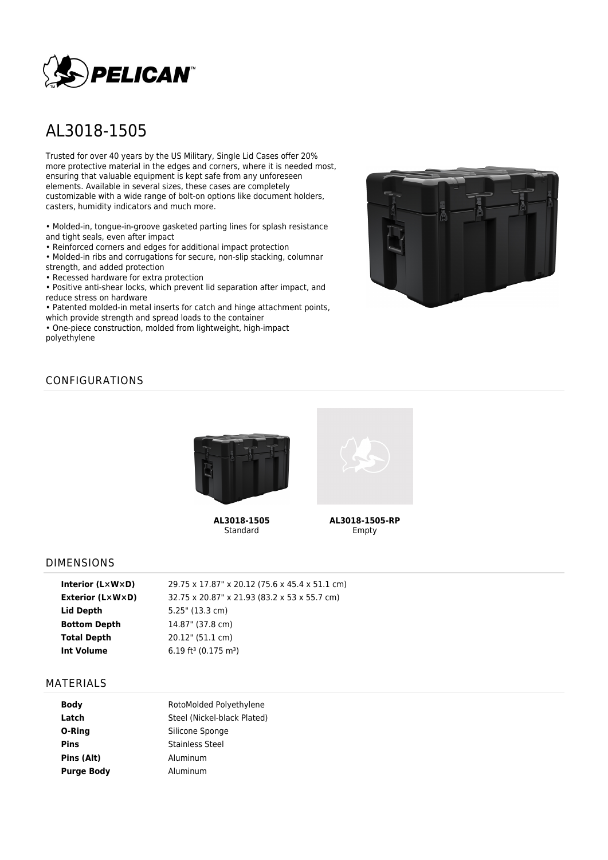

# AL3018-1505

Trusted for over 40 years by the US Military, Single Lid Cases offer 20% more protective material in the edges and corners, where it is needed most, ensuring that valuable equipment is kept safe from any unforeseen elements. Available in several sizes, these cases are completely customizable with a wide range of bolt-on options like document holders, casters, humidity indicators and much more.

• Molded-in, tongue-in-groove gasketed parting lines for splash resistance and tight seals, even after impact

• Reinforced corners and edges for additional impact protection

• Molded-in ribs and corrugations for secure, non-slip stacking, columnar strength, and added protection

• Recessed hardware for extra protection

• Positive anti-shear locks, which prevent lid separation after impact, and reduce stress on hardware

• Patented molded-in metal inserts for catch and hinge attachment points, which provide strength and spread loads to the container

• One-piece construction, molded from lightweight, high-impact polyethylene



# CONFIGURATIONS



**AL3018-1505** Standard



**AL3018-1505-RP** Empty

### DIMENSIONS

| 29.75 x 17.87" x 20.12 (75.6 x 45.4 x 51.1 cm) |
|------------------------------------------------|
| 32.75 x 20.87" x 21.93 (83.2 x 53 x 55.7 cm)   |
| 5.25" (13.3 cm)                                |
| 14.87" (37.8 cm)                               |
| 20.12" (51.1 cm)                               |
| $6.19$ ft <sup>3</sup> (0.175 m <sup>3</sup> ) |
|                                                |

#### MATERIALS

| <b>Body</b>       | RotoMolded Polyethylene     |  |  |
|-------------------|-----------------------------|--|--|
| Latch             | Steel (Nickel-black Plated) |  |  |
| O-Ring            | Silicone Sponge             |  |  |
| <b>Pins</b>       | <b>Stainless Steel</b>      |  |  |
| Pins (Alt)        | Aluminum                    |  |  |
| <b>Purge Body</b> | Aluminum                    |  |  |
|                   |                             |  |  |